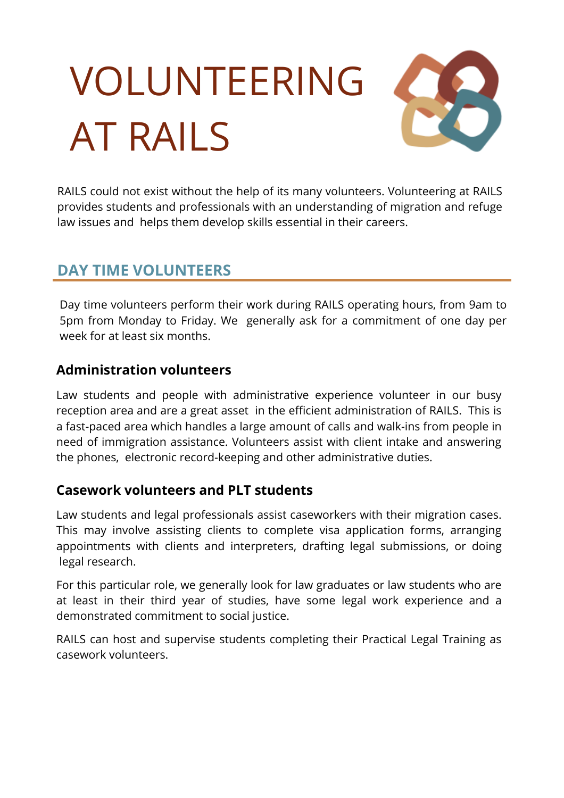# VOLUNTEERING AT RAILS



RAILS could not exist without the help of its many volunteers. Volunteering at RAILS provides students and professionals with an understanding of migration and refuge law issues and helps them develop skills essential in their careers.

## **DAY TIME VOLUNTEERS**

Day time volunteers perform their work during RAILS operating hours, from 9am to 5pm from Monday to Friday. We generally ask for a commitment of one day per week for at least six months.

## **Administration volunteers**

Law students and people with administrative experience volunteer in our busy reception area and are a great asset in the efficient administration of RAILS. This is a fast-paced area which handles a large amount of calls and walk-ins from people in need of immigration assistance. Volunteers assist with client intake and answering the phones, electronic record-keeping and other administrative duties.

## **Casework volunteers and PLT students**

Law students and legal professionals assist caseworkers with their migration cases. This may involve assisting clients to complete visa application forms, arranging appointments with clients and interpreters, drafting legal submissions, or doing legal research.

For this particular role, we generally look for law graduates or law students who are at least in their third year of studies, have some legal work experience and a demonstrated commitment to social justice.

RAILS can host and supervise students completing their Practical Legal Training as casework volunteers.